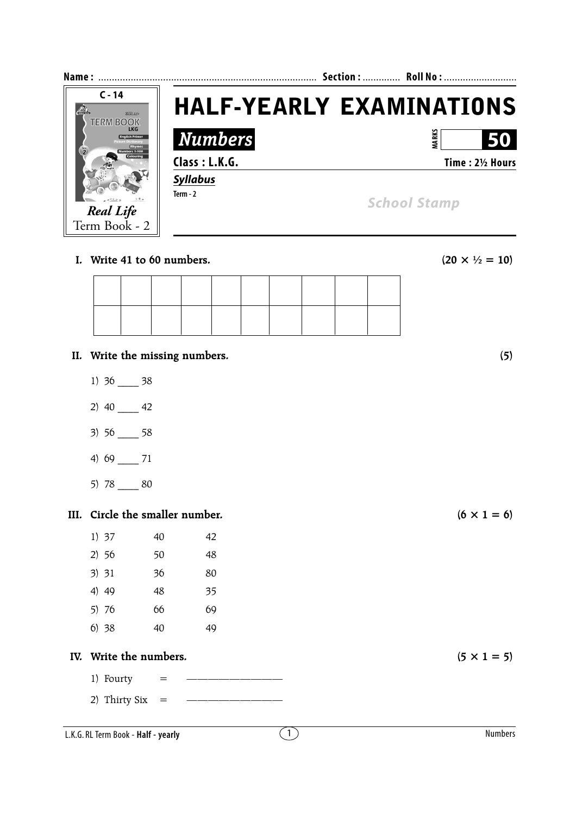

**I.** Write 41 to 60 numbers. (20  $\times$   $\frac{1}{2} = 10$ )

- **II. Write the missing numbers. (5)**
	- 1) 36 \_\_\_\_ 38
	- 2) 40 \_\_\_\_ 42
	- 3) 56 \_\_\_\_ 58
	- 4) 69 \_\_\_\_ 71
	- 5) 78 \_\_\_\_ 80

## **III.** Circle the smaller number.  $(6 \times 1 = 6)$

| 1) 37 | 40 | 42 |
|-------|----|----|
| 2) 56 | 50 | 48 |
| 3) 31 | 36 | 80 |
| 4) 49 | 48 | 35 |
| 5) 76 | 66 | 69 |
| 6)38  | 40 | 49 |
|       |    |    |

## IV. Write the numbers.  $(5 \times 1 = 5)$

- 1) Fourty  $=$
- 2) Thirty Six  $=$